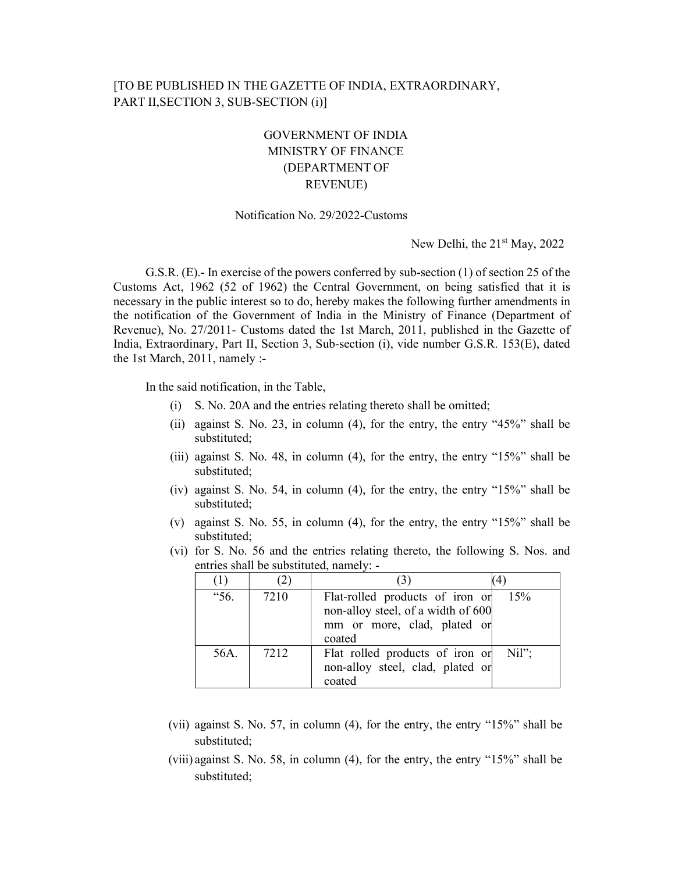## [TO BE PUBLISHED IN THE GAZETTE OF INDIA, EXTRAORDINARY, PART II, SECTION 3, SUB-SECTION (i)]

## GOVERNMENT OF INDIA MINISTRY OF FINANCE (DEPARTMENT OF REVENUE)

## Notification No. 29/2022-Customs

New Delhi, the  $21<sup>st</sup>$  May, 2022

G.S.R. (E).- In exercise of the powers conferred by sub-section (1) of section 25 of the Customs Act, 1962 (52 of 1962) the Central Government, on being satisfied that it is necessary in the public interest so to do, hereby makes the following further amendments in the notification of the Government of India in the Ministry of Finance (Department of Revenue), No. 27/2011- Customs dated the 1st March, 2011, published in the Gazette of India, Extraordinary, Part II, Section 3, Sub-section (i), vide number G.S.R. 153(E), dated the 1st March, 2011, namely :-

In the said notification, in the Table,

- (i) S. No. 20A and the entries relating thereto shall be omitted;
- (ii) against S. No. 23, in column (4), for the entry, the entry "45%" shall be substituted;
- (iii) against S. No. 48, in column (4), for the entry, the entry "15%" shall be substituted;
- (iv) against S. No. 54, in column (4), for the entry, the entry "15%" shall be substituted;
- (v) against S. No. 55, in column (4), for the entry, the entry "15%" shall be substituted;
- (vi) for S. No. 56 and the entries relating thereto, the following S. Nos. and entries shall be substituted, namely: -

|      | $\mathcal{L}$ |                                                                                                                | (4)   |
|------|---------------|----------------------------------------------------------------------------------------------------------------|-------|
| "56. | 7210          | Flat-rolled products of iron or<br>non-alloy steel, of a width of 600<br>mm or more, clad, plated or<br>coated | 15%   |
| 56A. | 7212          | Flat rolled products of iron or<br>non-alloy steel, clad, plated or<br>coated                                  | Nil"; |

- (vii) against S. No. 57, in column (4), for the entry, the entry "15%" shall be substituted;
- (viii) against S. No. 58, in column (4), for the entry, the entry "15%" shall be substituted;